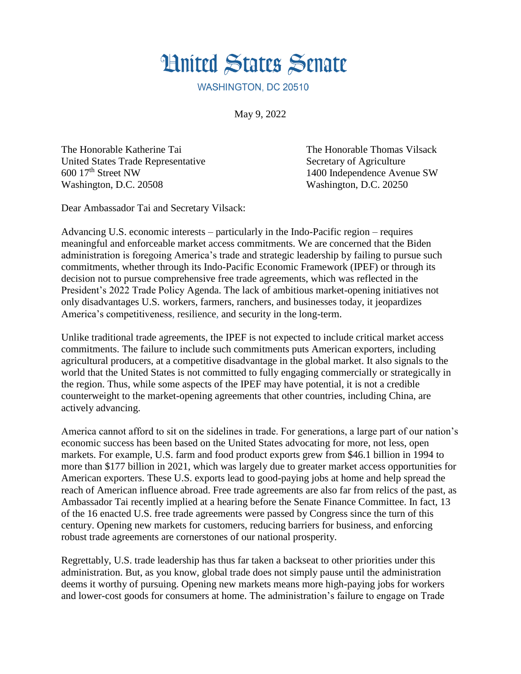

WASHINGTON, DC 20510

May 9, 2022

United States Trade Representative Secretary of Agriculture 600 17th Street NW 1400 Independence Avenue SW Washington, D.C. 20508 Washington, D.C. 20250

The Honorable Katherine Tai The Honorable Thomas Vilsack

Dear Ambassador Tai and Secretary Vilsack:

Advancing U.S. economic interests – particularly in the Indo-Pacific region – requires meaningful and enforceable market access commitments. We are concerned that the Biden administration is foregoing America's trade and strategic leadership by failing to pursue such commitments, whether through its Indo-Pacific Economic Framework (IPEF) or through its decision not to pursue comprehensive free trade agreements, which was reflected in the President's 2022 Trade Policy Agenda. The lack of ambitious market-opening initiatives not only disadvantages U.S. workers, farmers, ranchers, and businesses today, it jeopardizes America's competitiveness, resilience, and security in the long-term.

Unlike traditional trade agreements, the IPEF is not expected to include critical market access commitments. The failure to include such commitments puts American exporters, including agricultural producers, at a competitive disadvantage in the global market. It also signals to the world that the United States is not committed to fully engaging commercially or strategically in the region. Thus, while some aspects of the IPEF may have potential, it is not a credible counterweight to the market-opening agreements that other countries, including China, are actively advancing.

America cannot afford to sit on the sidelines in trade. For generations, a large part of our nation's economic success has been based on the United States advocating for more, not less, open markets. For example, U.S. farm and food product exports grew from \$46.1 billion in 1994 to more than \$177 billion in 2021, which was largely due to greater market access opportunities for American exporters. These U.S. exports lead to good-paying jobs at home and help spread the reach of American influence abroad. Free trade agreements are also far from relics of the past, as Ambassador Tai recently implied at a hearing before the Senate Finance Committee. In fact, 13 of the 16 enacted U.S. free trade agreements were passed by Congress since the turn of this century. Opening new markets for customers, reducing barriers for business, and enforcing robust trade agreements are cornerstones of our national prosperity.

Regrettably, U.S. trade leadership has thus far taken a backseat to other priorities under this administration. But, as you know, global trade does not simply pause until the administration deems it worthy of pursuing. Opening new markets means more high-paying jobs for workers and lower-cost goods for consumers at home. The administration's failure to engage on Trade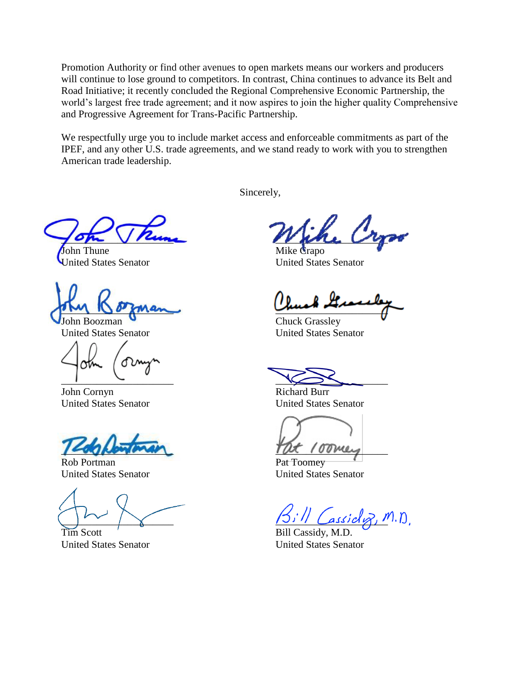Promotion Authority or find other avenues to open markets means our workers and producers will continue to lose ground to competitors. In contrast, China continues to advance its Belt and Road Initiative; it recently concluded the Regional Comprehensive Economic Partnership, the world's largest free trade agreement; and it now aspires to join the higher quality Comprehensive and Progressive Agreement for Trans-Pacific Partnership.

We respectfully urge you to include market access and enforceable commitments as part of the IPEF, and any other U.S. trade agreements, and we stand ready to work with you to strengthen American trade leadership.

Sincerely,

 $\frac{1}{2}$ ope Vrum

John Thune United States Senator

 $\sum_{i=1}^n m_i$ 

John Boozman United States Senator

 $\Box$ 

John Cornyn United States Senator

\_\_\_\_\_\_\_\_\_\_\_\_\_\_\_\_\_\_\_\_\_\_

Rob Portman United States Senator

 $\frac{1}{2}$ 

Tim Scott United States Senator

\_\_\_\_\_\_\_\_\_\_\_\_\_\_\_\_\_\_\_\_\_\_

Mike Crapo United States Senator

 $\frac{1}{\sqrt{2\pi}}$ 

Chuck Grassley United States Senator

 $\searrow$ 

Richard Burr United States Senator

 $T\alpha\tau$  /  $\sigma\sigma\mu\mu\sigma$ 

Pat Toomey United States Senator

 $_{assido}$ , M.D.

Bill Cassidy, M.D. United States Senator